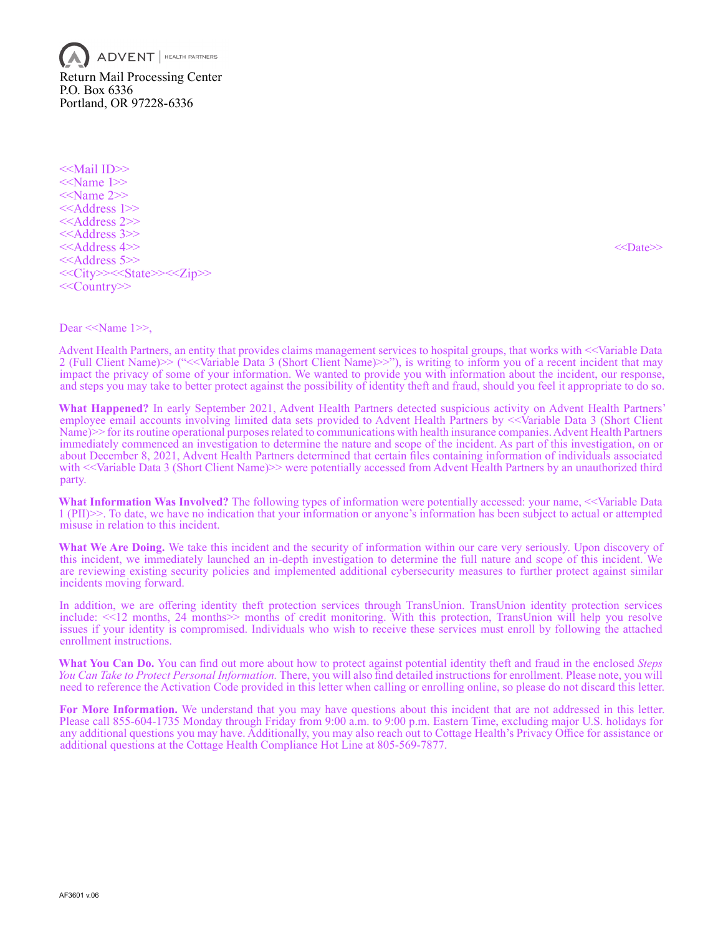$\mathsf{ADVENT}\xspace$  Health partners Return Mail Processing Center P.O. Box 6336 Portland, OR 97228-6336

<<Mail ID>> <<Name 1>> <<Name 2>> <<Address 1>> <<Address 2>> <<Address 3>> <<Address 4>> <<>>><<>>>>>><<>><<>><<>
<< <<Address 5>> <<City>><<State>><<Zip>> <<Country>>

Dear <<Name 1>>,

Advent Health Partners, an entity that provides claims management services to hospital groups, that works with <<Variable Data 2 (Full Client Name)>> ("<<Variable Data 3 (Short Client Name)>>"), is writing to inform you of a recent incident that may impact the privacy of some of your information. We wanted to provide you with information about the incident, our response, and steps you may take to better protect against the possibility of identity theft and fraud, should you feel it appropriate to do so.

**What Happened?** In early September 2021, Advent Health Partners detected suspicious activity on Advent Health Partners' employee email accounts involving limited data sets provided to Advent Health Partners by <<Variable Data 3 (Short Client Name)>> for its routine operational purposes related to communications with health insurance companies. Advent Health Partners immediately commenced an investigation to determine the nature and scope of the incident. As part of this investigation, on or about December 8, 2021, Advent Health Partners determined that certain files containing information of individuals associated with <<Variable Data 3 (Short Client Name)>> were potentially accessed from Advent Health Partners by an unauthorized third party.

**What Information Was Involved?** The following types of information were potentially accessed: your name, <<Variable Data 1 (PII)>>. To date, we have no indication that your information or anyone's information has been subject to actual or attempted misuse in relation to this incident.

**What We Are Doing.** We take this incident and the security of information within our care very seriously. Upon discovery of this incident, we immediately launched an in-depth investigation to determine the full nature and scope of this incident. We are reviewing existing security policies and implemented additional cybersecurity measures to further protect against similar incidents moving forward.

In addition, we are offering identity theft protection services through TransUnion. TransUnion identity protection services include: <<12 months, 24 months>> months of credit monitoring. With this protection, TransUnion will help you resolve issues if your identity is compromised. Individuals who wish to receive these services must enroll by following the attached enrollment instructions.

**What You Can Do.** You can find out more about how to protect against potential identity theft and fraud in the enclosed *Steps You Can Take to Protect Personal Information.* There, you will also find detailed instructions for enrollment. Please note, you will need to reference the Activation Code provided in this letter when calling or enrolling online, so please do not discard this letter.

**For More Information.** We understand that you may have questions about this incident that are not addressed in this letter. Please call 855-604-1735 Monday through Friday from 9:00 a.m. to 9:00 p.m. Eastern Time, excluding major U.S. holidays for any additional questions you may have. Additionally, you may also reach out to Cottage Health's Privacy Office for assistance or additional questions at the Cottage Health Compliance Hot Line at 805-569-7877.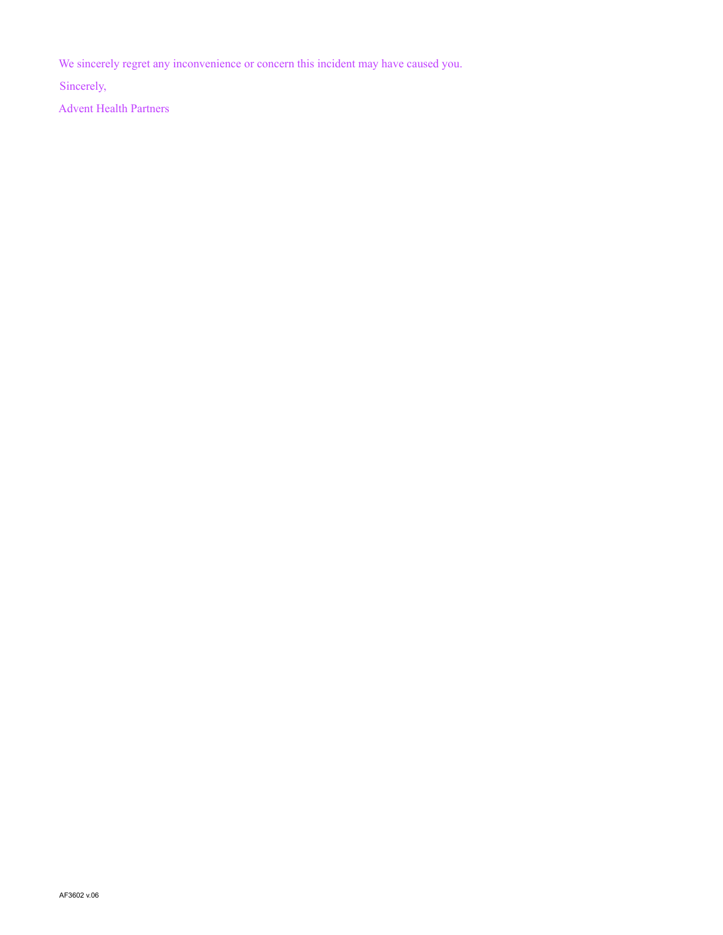We sincerely regret any inconvenience or concern this incident may have caused you.

Sincerely,

Advent Health Partners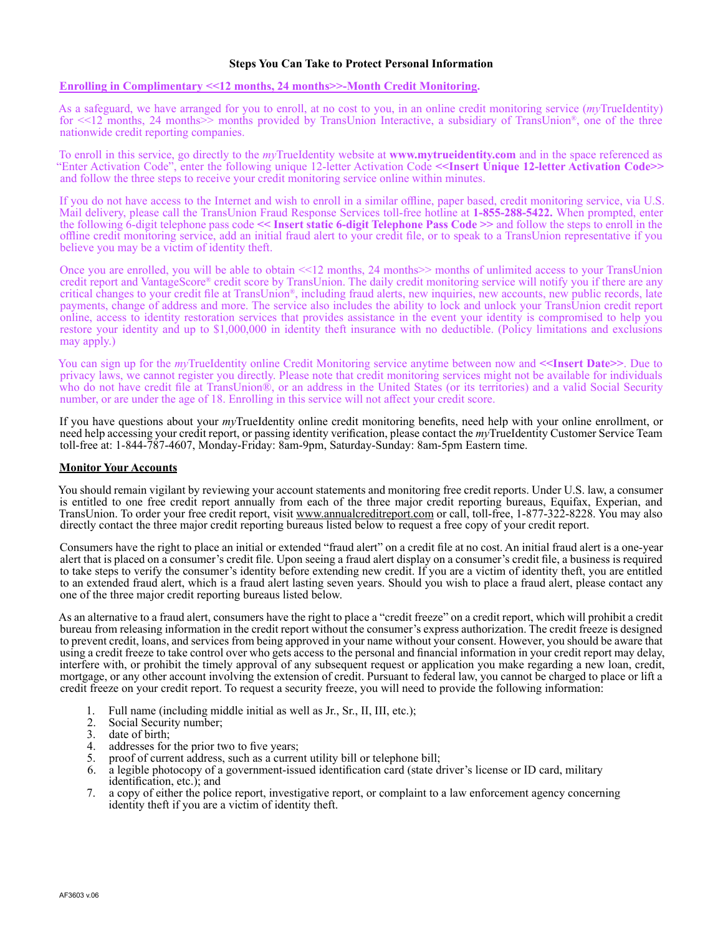## **Steps You Can Take to Protect Personal Information**

## **Enrolling in Complimentary <<12 months, 24 months>>-Month Credit Monitoring.**

As a safeguard, we have arranged for you to enroll, at no cost to you, in an online credit monitoring service (*my*TrueIdentity) for  $\leq 12$  months, 24 months provided by TransUnion Interactive, a subsidiary of TransUnion®, one of the three nationwide credit reporting companies.

To enroll in this service, go directly to the *my*TrueIdentity website at **www.mytrueidentity.com** and in the space referenced as "Enter Activation Code", enter the following unique 12-letter Activation Code **<<Insert Unique 12-letter Activation Code>>**  and follow the three steps to receive your credit monitoring service online within minutes.

If you do not have access to the Internet and wish to enroll in a similar offline, paper based, credit monitoring service, via U.S. Mail delivery, please call the TransUnion Fraud Response Services toll-free hotline at **1-855-288-5422.** When prompted, enter the following 6-digit telephone pass code **<< Insert static 6-digit Telephone Pass Code >>** and follow the steps to enroll in the offline credit monitoring service, add an initial fraud alert to your credit file, or to speak to a TransUnion representative if you believe you may be a victim of identity theft.

Once you are enrolled, you will be able to obtain <<12 months, 24 months>> months of unlimited access to your TransUnion credit report and VantageScore® credit score by TransUnion. The daily credit monitoring service will notify you if there are any critical changes to your credit file at TransUnion®, including fraud alerts, new inquiries, new accounts, new public records, late payments, change of address and more. The service also includes the ability to lock and unlock your TransUnion credit report online, access to identity restoration services that provides assistance in the event your identity is compromised to help you restore your identity and up to \$1,000,000 in identity theft insurance with no deductible. (Policy limitations and exclusions may apply.)

You can sign up for the *my*TrueIdentity online Credit Monitoring service anytime between now and <<Insert Date>>. Due to privacy laws, we cannot register you directly. Please note that credit monitoring services might not be available for individuals who do not have credit file at TransUnion®, or an address in the United States (or its territories) and a valid Social Security number, or are under the age of 18. Enrolling in this service will not affect your credit score.

If you have questions about your *my*TrueIdentity online credit monitoring benefits, need help with your online enrollment, or need help accessing your credit report, or passing identity verification, please contact the *my*TrueIdentity Customer Service Team toll-free at: 1-844-787-4607, Monday-Friday: 8am-9pm, Saturday-Sunday: 8am-5pm Eastern time.

## **Monitor Your Accounts**

You should remain vigilant by reviewing your account statements and monitoring free credit reports. Under U.S. law, a consumer is entitled to one free credit report annually from each of the three major credit reporting bureaus, Equifax, Experian, and TransUnion. To order your free credit report, visit www.annualcreditreport.com or call, toll-free, 1-877-322-8228. You may also directly contact the three major credit reporting bureaus listed below to request a free copy of your credit report.

Consumers have the right to place an initial or extended "fraud alert" on a credit file at no cost. An initial fraud alert is a one-year alert that is placed on a consumer's credit file. Upon seeing a fraud alert display on a consumer's credit file, a business is required to take steps to verify the consumer's identity before extending new credit. If you are a victim of identity theft, you are entitled to an extended fraud alert, which is a fraud alert lasting seven years. Should you wish to place a fraud alert, please contact any one of the three major credit reporting bureaus listed below.

As an alternative to a fraud alert, consumers have the right to place a "credit freeze" on a credit report, which will prohibit a credit bureau from releasing information in the credit report without the consumer's express authorization. The credit freeze is designed to prevent credit, loans, and services from being approved in your name without your consent. However, you should be aware that using a credit freeze to take control over who gets access to the personal and financial information in your credit report may delay, interfere with, or prohibit the timely approval of any subsequent request or application you make regarding a new loan, credit, mortgage, or any other account involving the extension of credit. Pursuant to federal law, you cannot be charged to place or lift a credit freeze on your credit report. To request a security freeze, you will need to provide the following information:

- 1. Full name (including middle initial as well as Jr., Sr., II, III, etc.);<br>2. Social Security number;
- 2. Social Security number;<br>3. date of birth;
- date of birth;
- 4. addresses for the prior two to five years;<br>5. proof of current address, such as a currer
- 5. proof of current address, such as a current utility bill or telephone bill;
- 6. a legible photocopy of a government-issued identification card (state driver's license or ID card, military identification, etc.); and
- 7. a copy of either the police report, investigative report, or complaint to a law enforcement agency concerning identity theft if you are a victim of identity theft.